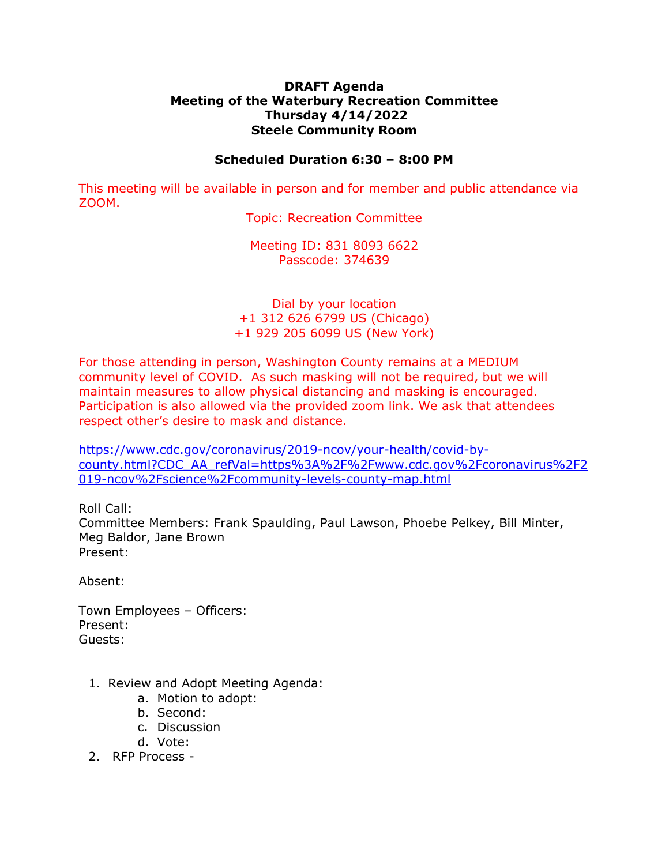## **DRAFT Agenda Meeting of the Waterbury Recreation Committee Thursday 4/14/2022 Steele Community Room**

## **Scheduled Duration 6:30 – 8:00 PM**

This meeting will be available in person and for member and public attendance via ZOOM.

Topic: Recreation Committee

Meeting ID: 831 8093 6622 Passcode: 374639

## Dial by your location +1 312 626 6799 US (Chicago) +1 929 205 6099 US (New York)

For those attending in person, Washington County remains at a MEDIUM community level of COVID. As such masking will not be required, but we will maintain measures to allow physical distancing and masking is encouraged. Participation is also allowed via the provided zoom link. We ask that attendees respect other's desire to mask and distance.

[https://www.cdc.gov/coronavirus/2019-ncov/your-health/covid-by](https://www.cdc.gov/coronavirus/2019-ncov/your-health/covid-by-county.html?CDC_AA_refVal=https%3A%2F%2Fwww.cdc.gov%2Fcoronavirus%2F2019-ncov%2Fscience%2Fcommunity-levels-county-map.html)[county.html?CDC\\_AA\\_refVal=https%3A%2F%2Fwww.cdc.gov%2Fcoronavirus%2F2](https://www.cdc.gov/coronavirus/2019-ncov/your-health/covid-by-county.html?CDC_AA_refVal=https%3A%2F%2Fwww.cdc.gov%2Fcoronavirus%2F2019-ncov%2Fscience%2Fcommunity-levels-county-map.html) [019-ncov%2Fscience%2Fcommunity-levels-county-map.html](https://www.cdc.gov/coronavirus/2019-ncov/your-health/covid-by-county.html?CDC_AA_refVal=https%3A%2F%2Fwww.cdc.gov%2Fcoronavirus%2F2019-ncov%2Fscience%2Fcommunity-levels-county-map.html)

Roll Call:

Committee Members: Frank Spaulding, Paul Lawson, Phoebe Pelkey, Bill Minter, Meg Baldor, Jane Brown Present:

Absent:

Town Employees – Officers: Present: Guests:

- 1. Review and Adopt Meeting Agenda:
	- a. Motion to adopt:
	- b. Second:
	- c. Discussion
	- d. Vote:
- 2. RFP Process -